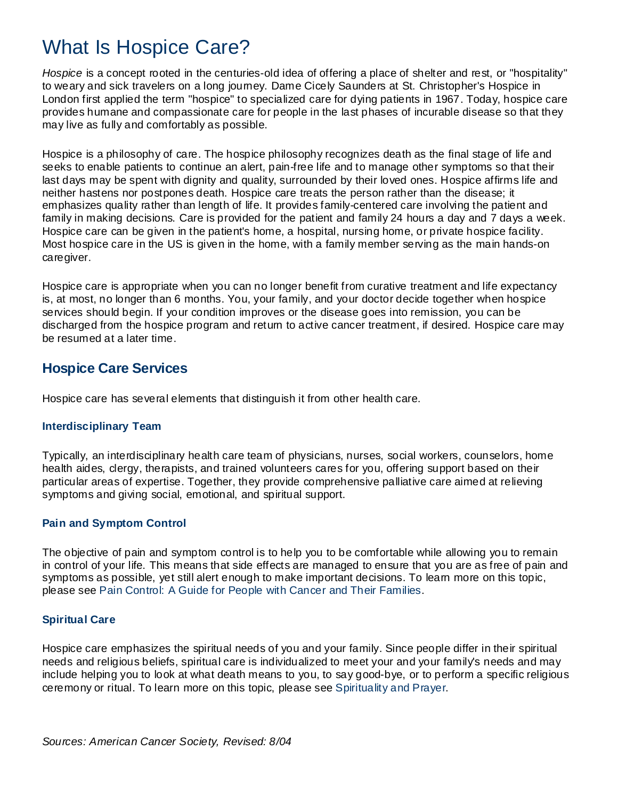# What Is Hospice Care?

*Hospice* is a concept rooted in the centuries-old idea of offering a place of shelter and rest, or "hospitality" to weary and sick travelers on a long journey. Dame Cicely Saunders at St. Christopher's Hospice in London first applied the term "hospice" to specialized care for dying patients in 1967. Today, hospice care provides humane and compassionate care for people in the last phases of incurable disease so that they may live as fully and comfortably as possible.

Hospice is a philosophy of care. The hospice philosophy recognizes death as the final stage of life and seeks to enable patients to continue an alert, pain-free life and to manage other symptoms so that their last days may be spent with dignity and quality, surrounded by their loved ones. Hospice affirms life and neither hastens nor postpones death. Hospice care treats the person rather than the disease; it emphasizes quality rather than length of life. It provides family-centered care involving the patient and family in making decisions. Care is provided for the patient and family 24 hours a day and 7 days a week. Hospice care can be given in the patient's home, a hospital, nursing home, or private hospice facility. Most hospice care in the US is given in the home, with a family member serving as the main hands-on caregiver.

Hospice care is appropriate when you can no longer benefit from curative treatment and life expectancy is, at most, no longer than 6 months. You, your family, and your doctor decide together when hospice services should begin. If your condition improves or the disease goes into remission, you can be discharged from the hospice program and return to active cancer treatment, if desired. Hospice care may be resumed at a later time.

# **Hospice Care Services**

Hospice care has several elements that distinguish it from other health care.

#### **Interdisciplinary Team**

Typically, an interdisciplinary health care team of physicians, nurses, social workers, counselors, home health aides, clergy, therapists, and trained volunteers cares for you, offering support based on their particular areas of expertise. Together, they provide comprehensive palliative care aimed at relieving symptoms and giving social, emotional, and spiritual support.

# **Pain and Symptom Control**

The objective of pain and symptom control is to help you to be comfortable while allowing you to remain in control of your life. This means that side effects are managed to ensure that you are as free of pain and symptoms as possible, yet still alert enough to make important decisions. To learn more on this topic, please see Pain Control: A Guide for People with Cancer and Their Families.

#### **Spiritual Care**

Hospice care emphasizes the spiritual needs of you and your family. Since people differ in their spiritual needs and religious beliefs, spiritual care is individualized to meet your and your family's needs and may include helping you to look at what death means to you, to say good-bye, or to perform a specific religious ceremony or ritual. To learn more on this topic, please see Spirituality and Prayer.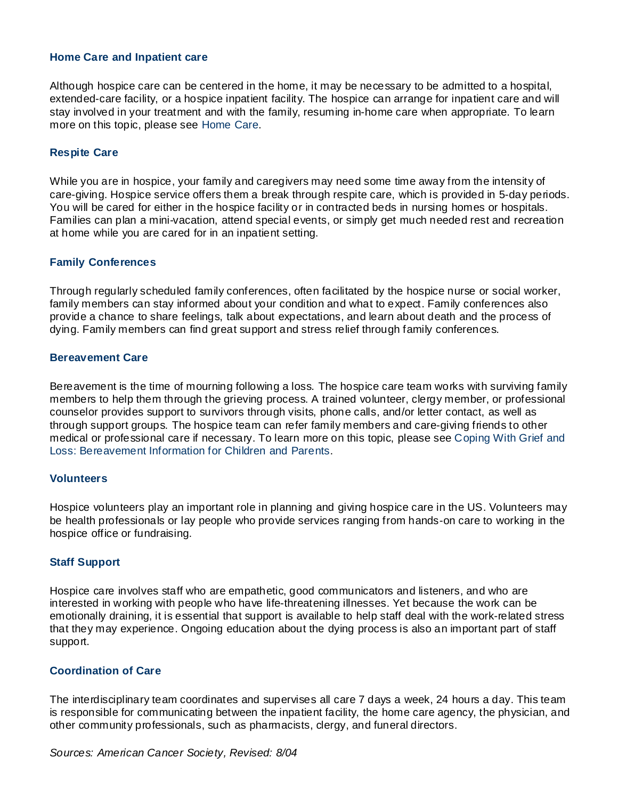#### **Home Care and Inpatient care**

Although hospice care can be centered in the home, it may be necessary to be admitted to a hospital, extended-care facility, or a hospice inpatient facility. The hospice can arrange for inpatient care and will stay involved in your treatment and with the family, resuming in-home care when appropriate. To learn more on this topic, please see Home Care.

#### **Respite Care**

While you are in hospice, your family and caregivers may need some time away from the intensity of care-giving. Hospice service offers them a break through respite care, which is provided in 5-day periods. You will be cared for either in the hospice facility or in contracted beds in nursing homes or hospitals. Families can plan a mini-vacation, attend special events, or simply get much needed rest and recreation at home while you are cared for in an inpatient setting.

#### **Family Conferences**

Through regularly scheduled family conferences, often facilitated by the hospice nurse or social worker, family members can stay informed about your condition and what to expect. Family conferences also provide a chance to share feelings, talk about expectations, and learn about death and the process of dying. Family members can find great support and stress relief through family conferences.

#### **Bereavement Care**

Bereavement is the time of mourning following a loss. The hospice care team works with surviving family members to help them through the grieving process. A trained volunteer, clergy member, or professional counselor provides support to survivors through visits, phone calls, and/or letter contact, as well as through support groups. The hospice team can refer family members and care-giving friends to other medical or professional care if necessary. To learn more on this topic, please see Coping With Grief and Loss: Bereavement Information for Children and Parents.

#### **Volunteers**

Hospice volunteers play an important role in planning and giving hospice care in the US. Volunteers may be health professionals or lay people who provide services ranging from hands-on care to working in the hospice office or fundraising.

#### **Staff Support**

Hospice care involves staff who are empathetic, good communicators and listeners, and who are interested in working with people who have life-threatening illnesses. Yet because the work can be emotionally draining, it is essential that support is available to help staff deal with the work-related stress that they may experience. Ongoing education about the dying process is also an important part of staff support.

#### **Coordination of Care**

The interdisciplinary team coordinates and supervises all care 7 days a week, 24 hours a day. This team is responsible for communicating between the inpatient facility, the home care agency, the physician, and other community professionals, such as pharmacists, clergy, and funeral directors.